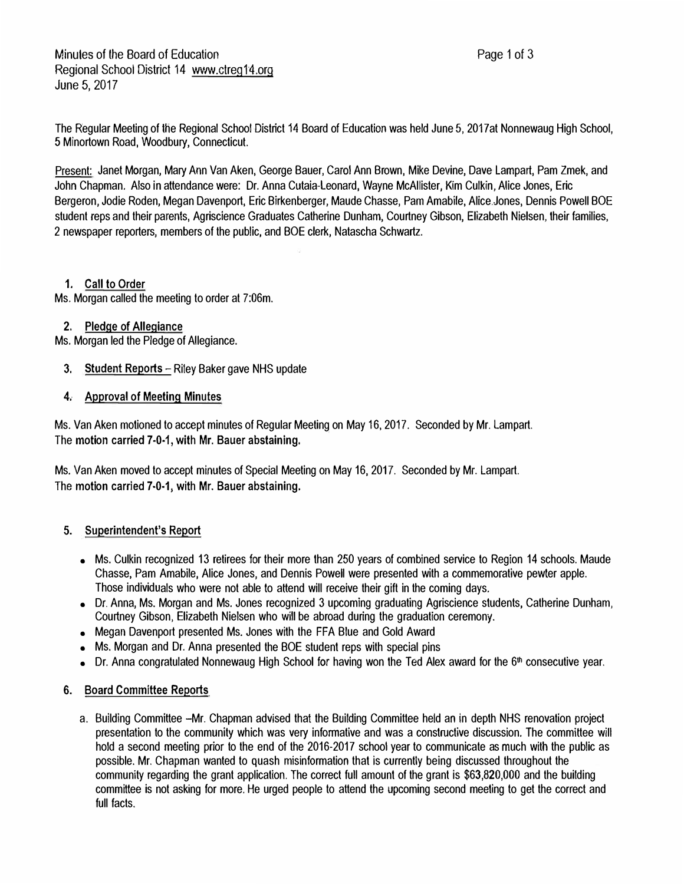The Regular Meeting of the Regional School District 14 Board of Education was held June 5, 2017at Nonnewaug High School, 5 Minortown Road, Woodbury, Connecticut.

Present: Janet Morgan, Mary Ann Van Aken, George Bauer, Carol Ann Brown, Mike Devine, Dave Lampart, Pam Zmek, and John Chapman. Also in attendance were: Dr. Anna Cutaia-Leonard, Wayne McAllister, Kim Culkin, Alice Jones, Eric Bergeron, Jodie Roden, Megan Davenport, Eric Birkenberger, Maude Chasse, Pam Amabile, Alice Jones, Dennis Powell BOE student reps and their parents, Agriscience Graduates Catherine Dunham, Courtney Gibson, Elizabeth Nielsen, their families, 2 newspaper reporters, members of the public, and BOE clerk, Natascha Schwartz.

## 1. Call to Order

Ms. Morgan called the meeting to order at 7:06m.

### 2. Pledge of Allegiance

Ms. Morgan led the Pledge of Allegiance.

- 3. Student Reports Riley Baker gave NHS update
- 4. Approval of Meeting Minutes

Ms. Van Aken motioned to accept minutes of Regular Meeting on May 16, 2017. Seconded by Mr. Lampart. The motion carried 7-0-1, with Mr. Bauer abstaining.

Ms. Van Aken moved to accept minutes of Special Meeting on May 16, 2017. Seconded by Mr. Lampart. The motion carried 7-0-1, with Mr. Bauer abstaining.

### **5. Superintendent's Report**

- Ms. Culkin recognized 13 retirees for their more than 250 years of combined service to Region 14 schools. Maude Chasse, Pam Amabile, Alice Jones, and Dennis Powell were presented with a commemorative pewter apple. Those individuals who were not able to attend will receive their gift in the coming days.
- Dr. Anna, Ms. Morgan and Ms. Jones recognized 3 upcoming graduating Agriscience students, Catherine Dunham, Courtney Gibson, Elizabeth Nielsen who **will** be abroad during the graduation ceremony.
- Megan Davenport presented Ms. Jones with the FFA Blue and Gold Award
- Ms. Morgan and Dr. Anna presented the BOE student reps with special pins
- Dr. Anna congratulated Nonnewaug High School for having won the Ted Alex award for the 6<sup>th</sup> consecutive year.

### **6. Board Committee Reports**

a. Building Committee -Mr. Chapman advised that the Building Committee held an in depth NHS renovation project presentation to the community which was very informative and was a constructive discussion. The committee **will** hold a second meeting prior to the end of the 2016-2017 school year to communicate as much with the public as possible. Mr. Chapman wanted to quash misinformation that is currently being discussed throughout the community regarding the grant application. The correct full amount of the grant is \$63,820,000 and the building committee is not asking for more. He urged people to attend the upcoming second meeting to get the correct and full facts.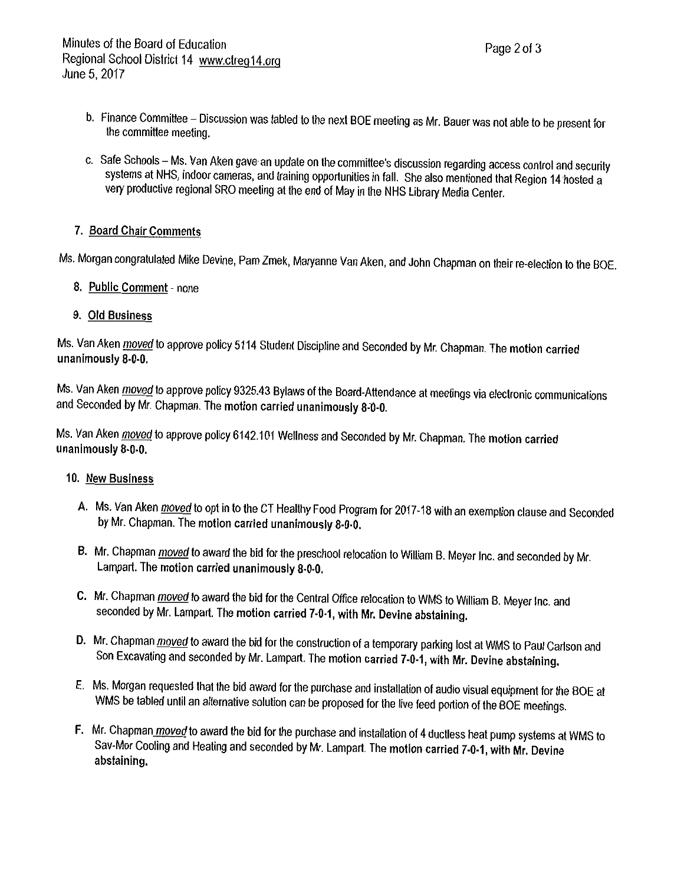- b. Finance Committee Discussion was tabled to the next BOE meeting as Mr. Bauer was not able to be present for the committee meeting.
- c. Safe Schools Ms. Van Aken gave an update on the committee's discussion regarding access control and security systems at NHS, indoor cameras, and training opportunities in fall. She also mentioned that Region 14 hosted a very productive regional SRO meeting at the end of May in the NHS Library Media Center.

# 7. Board Chair Comments

Ms. Morgan congratulated Mike Devine, Pam Zmek, Maryanne Van Aken, and John Chapman on their re-election to the BOE.

- 8. Public Comment none
- 9. Old Business

Ms. Van Aken *moved* to approve policy 5114 Student Discipline and Seconded by Mr. Chapman. The motion carried unanimously 8-0-0.

Ms. Van Aken *moved* to approve policy 9325.43 Bylaws of the Board-Attendance at meetings via electronic communications and Seconded by Mr. Chapman. The motion carried unanimously 8-0-0.

Ms. Van Aken moved to approve policy 6142.101 Wellness and Seconded by Mr. Chapman. The motion carried unanimously 8-0-0.

### 10. New Business

- A. Ms. Van Aken *moved* to opt in to the CT Healthy Food Program for 2017-18 with an exemption clause and Seconded by Mr. Chapman. The motion carried unanimously 8-0-0.
- B. Mr. Chapman moved to award the bid for the preschool relocation to William B. Meyer Inc. and seconded by Mr. Lampart. The motion carried unanimously 8-0-0.
- C. Mr. Chapman moved to award the bid for the Central Office relocation to WMS to William B. Meyer Inc. and seconded by Mr. Lampart. The motion carried 7-0-1, with Mr. Devine abstaining.
- D. Mr. Chapman moved to award the bid for the construction of a temporary parking lost at WMS to Paul Carlson and Son Excavating and seconded by Mr. Lampart. The motion carried 7-0-1, with Mr. Devine abstaining.
- E. Ms. Morgan requested that the bid award for the purchase and installation of audio visual equipment for the BOE at WMS be tabled until an alternative solution can be proposed for the live feed portion of the BOE meetings.
- F. Mr. Chapman moved to award the bid for the purchase and installation of 4 ductless heat pump systems at WMS to Sav-Mor Cooling and Heating and seconded by Mr. Lampart. The motion carried 7-0-1, with Mr. Devine abstaining.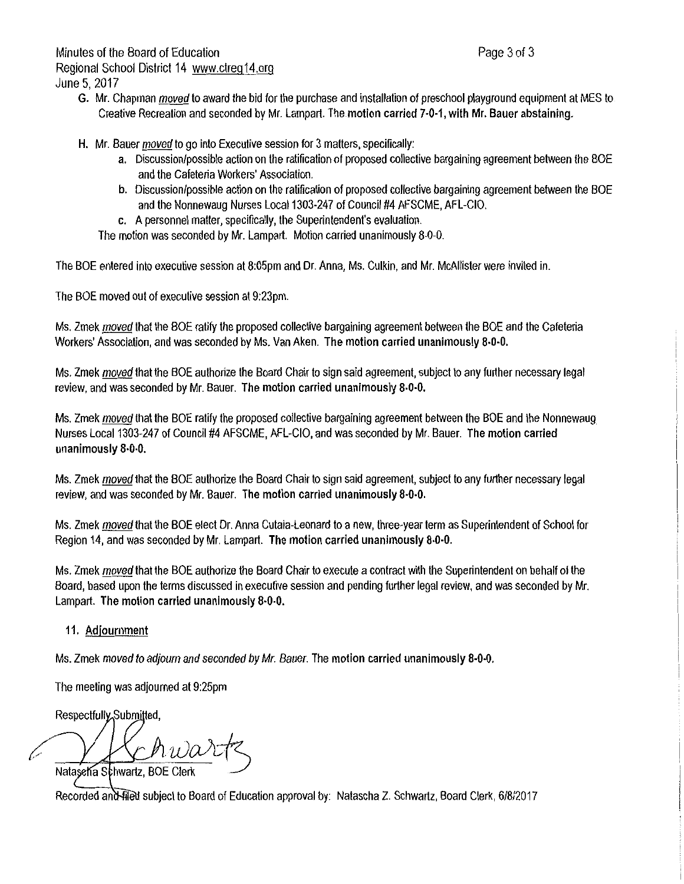Minutes of the Board of Education Regional School District 14 www.ctreg14.org June 5, 2017

- G. Mr. Chapman moved to award the bid for the purchase and installation of preschool playground equipment at MES to Creative Recreation and seconded by Mr. Lampart. The motion carried 7-0-1, with Mr. Bauer abstaining.
- H. Mr. Bauer moved to go into Executive session for 3 matters, specifically:
	- a. Discussion/possible action on the ratification of proposed collective bargaining agreement between the BOE and the Cafeteria Workers' Association.
	- b. Discussion/possible action on the ratification of proposed collective bargaining agreement between the BOE and the Nonnewaug Nurses Local 1303-247 of Council #4 AFSCME, AFL-CIO.
	- c. A personnel matter, specifically, the Superintendent's evaluation.

The motion was seconded by Mr. Lampart. Motion carried unanimously 8-0-0.

The BOE entered into executive session at 8:05pm and Dr. Anna, Ms. Culkin, and Mr. McAllister were invited in.

The BOE moved out of executive session at 9:23pm.

Ms. Zmek moved that the BOE ratify the proposed collective bargaining agreement between the BOE and the Cafeteria Workers' Association, and was seconded by Ms. Van Aken. The motion carried unanimously 8-0-0.

Ms. Zmek moved that the BOE authorize the Board Chair to sign said agreement, subject to any further necessary legal review, and was seconded by Mr. Bauer. The motion carried unanimously 8-0-0.

Ms. Zmek moved that the BOE ratify the proposed collective bargaining agreement between the BOE and the Nonnewaug Nurses Local 1303-247 of Council #4 AFSCME, AFL-CIO, and was seconded by Mr. Bauer. The motion carried unanimously 8-0-0.

Ms. Zmek moved that the BOE authorize the Board Chair to sign said agreement, subject to any further necessary legal review, and was seconded by Mr. Bauer. The motion carried unanimously 8-0-0.

Ms. Zmek moved that the BOE elect Dr. Anna Cutaia-Leonard to a new, three-year term as Superintendent of School for Region 14, and was seconded by Mr. Lampart. The motion carried unanimously 8-0-0.

Ms. Zmek moved that the BOE authorize the Board Chair to execute a contract with the Superintendent on behalf of the Board, based upon the terms discussed in executive session and pending further legal review, and was seconded by Mr. Lampart. The motion carried unanimously 8-0-0.

### 11. Adjournment

Ms. Zmek moved to adjourn and seconded by Mr. Bauer. The motion carried unanimously 8-0-0.

The meeting was adjourned at 9:25pm

Respectfully Submitted.

ŀ.

Nataseha Schwartz, BOE Clerk

Recorded and filed subject to Board of Education approval by: Natascha Z. Schwartz, Board Clerk, 6/8/2017